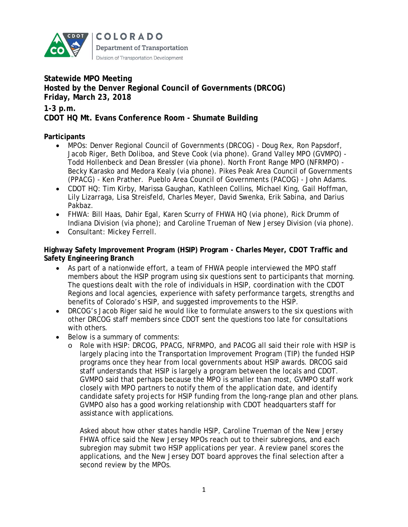

**COLORADO Department of Transportation** Division of Transportation Development

# **Statewide MPO Meeting Hosted by the Denver Regional Council of Governments (DRCOG) Friday, March 23, 2018**

**1-3 p.m.**

# **CDOT HQ Mt. Evans Conference Room - Shumate Building**

## **Participants**

- MPOs: Denver Regional Council of Governments (DRCOG) Doug Rex, Ron Papsdorf, Jacob Riger, Beth Doliboa, and Steve Cook (via phone). Grand Valley MPO (GVMPO) - Todd Hollenbeck and Dean Bressler (via phone). North Front Range MPO (NFRMPO) - Becky Karasko and Medora Kealy (via phone). Pikes Peak Area Council of Governments (PPACG) - Ken Prather. Pueblo Area Council of Governments (PACOG) - John Adams.
- CDOT HQ: Tim Kirby, Marissa Gaughan, Kathleen Collins, Michael King, Gail Hoffman, Lily Lizarraga, Lisa Streisfeld, Charles Meyer, David Swenka, Erik Sabina, and Darius Pakbaz.
- FHWA: Bill Haas, Dahir Egal, Karen Scurry of FHWA HQ (via phone), Rick Drumm of Indiana Division (via phone); and Caroline Trueman of New Jersey Division (via phone).
- Consultant: Mickey Ferrell.

**Highway Safety Improvement Program (HSIP) Program - Charles Meyer, CDOT Traffic and Safety Engineering Branch**

- As part of a nationwide effort, a team of FHWA people interviewed the MPO staff members about the HSIP program using six questions sent to participants that morning. The questions dealt with the role of individuals in HSIP, coordination with the CDOT Regions and local agencies, experience with safety performance targets, strengths and benefits of Colorado's HSIP, and suggested improvements to the HSIP.
- DRCOG's Jacob Riger said he would like to formulate answers to the six questions with other DRCOG staff members since CDOT sent the questions too late for consultations with others.
- Below is a summary of comments:
	- o Role with HSIP: DRCOG, PPACG, NFRMPO, and PACOG all said their role with HSIP is largely placing into the Transportation Improvement Program (TIP) the funded HSIP programs once they hear from local governments about HSIP awards. DRCOG said staff understands that HSIP is largely a program between the locals and CDOT. GVMPO said that perhaps because the MPO is smaller than most, GVMPO staff work closely with MPO partners to notify them of the application date, and identify candidate safety projects for HSIP funding from the long-range plan and other plans. GVMPO also has a good working relationship with CDOT headquarters staff for assistance with applications.

Asked about how other states handle HSIP, Caroline Trueman of the New Jersey FHWA office said the New Jersey MPOs reach out to their subregions, and each subregion may submit two HSIP applications per year. A review panel scores the applications, and the New Jersey DOT board approves the final selection after a second review by the MPOs.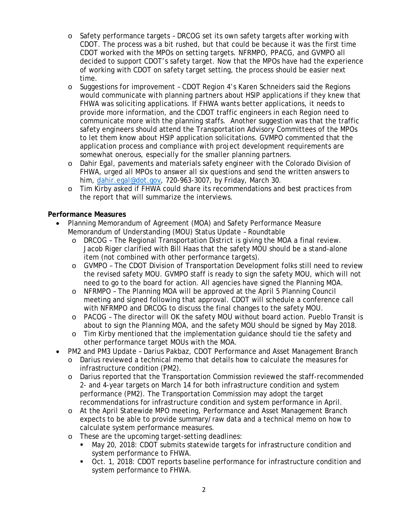- o Safety performance targets DRCOG set its own safety targets after working with CDOT. The process was a bit rushed, but that could be because it was the first time CDOT worked with the MPOs on setting targets. NFRMPO, PPACG, and GVMPO all decided to support CDOT's safety target. Now that the MPOs have had the experience of working with CDOT on safety target setting, the process should be easier next time.
- o Suggestions for improvement CDOT Region 4's Karen Schneiders said the Regions would communicate with planning partners about HSIP applications if they knew that FHWA was soliciting applications. If FHWA wants better applications, it needs to provide more information, and the CDOT traffic engineers in each Region need to communicate more with the planning staffs. Another suggestion was that the traffic safety engineers should attend the Transportation Advisory Committees of the MPOs to let them know about HSIP application solicitations. GVMPO commented that the application process and compliance with project development requirements are somewhat onerous, especially for the smaller planning partners.
- o Dahir Egal, pavements and materials safety engineer with the Colorado Division of FHWA, urged all MPOs to answer all six questions and send the written answers to him, [dahir.egal@dot.gov,](mailto:dahir.egal@dot.gov) 720-963-3007, by Friday, March 30.
- o Tim Kirby asked if FHWA could share its recommendations and best practices from the report that will summarize the interviews.

#### **Performance Measures**

- Planning Memorandum of Agreement (MOA) and Safety Performance Measure Memorandum of Understanding (MOU) Status Update – Roundtable
	- o DRCOG The Regional Transportation District is giving the MOA a final review. Jacob Riger clarified with Bill Haas that the safety MOU should be a stand-alone item (not combined with other performance targets).
	- o GVMPO The CDOT Division of Transportation Development folks still need to review the revised safety MOU. GVMPO staff is ready to sign the safety MOU, which will not need to go to the board for action. All agencies have signed the Planning MOA.
	- o NFRMPO The Planning MOA will be approved at the April 5 Planning Council meeting and signed following that approval. CDOT will schedule a conference call with NFRMPO and DRCOG to discuss the final changes to the safety MOU.
	- o PACOG The director will OK the safety MOU without board action. Pueblo Transit is about to sign the Planning MOA, and the safety MOU should be signed by May 2018.
	- o Tim Kirby mentioned that the implementation guidance should tie the safety and other performance target MOUs with the MOA.
- PM2 and PM3 Update Darius Pakbaz, CDOT Performance and Asset Management Branch
	- o Darius reviewed a technical memo that details how to calculate the measures for infrastructure condition (PM2).
	- o Darius reported that the Transportation Commission reviewed the staff-recommended 2- and 4-year targets on March 14 for both infrastructure condition and system performance (PM2). The Transportation Commission may adopt the target recommendations for infrastructure condition and system performance in April.
	- o At the April Statewide MPO meeting, Performance and Asset Management Branch expects to be able to provide summary/raw data and a technical memo on how to calculate system performance measures.
	- o These are the upcoming target-setting deadlines:
		- May 20, 2018: CDOT submits statewide targets for infrastructure condition and system performance to FHWA.
		- Oct. 1, 2018: CDOT reports baseline performance for infrastructure condition and system performance to FHWA.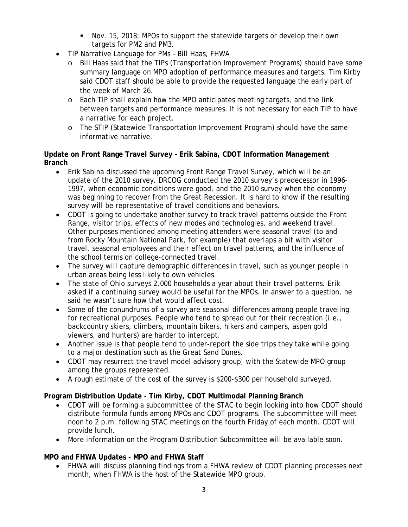- Nov. 15, 2018: MPOs to support the statewide targets or develop their own targets for PM2 and PM3.
- TIP Narrative Language for PMs Bill Haas, FHWA
	- o Bill Haas said that the TIPs (Transportation Improvement Programs) should have some summary language on MPO adoption of performance measures and targets. Tim Kirby said CDOT staff should be able to provide the requested language the early part of the week of March 26.
	- o Each TIP shall explain how the MPO anticipates meeting targets, and the link between targets and performance measures. It is not necessary for each TIP to have a narrative for each project.
	- o The STIP (Statewide Transportation Improvement Program) should have the same informative narrative.

### **Update on Front Range Travel Survey – Erik Sabina, CDOT Information Management Branch**

- Erik Sabina discussed the upcoming Front Range Travel Survey, which will be an update of the 2010 survey. DRCOG conducted the 2010 survey's predecessor in 1996- 1997, when economic conditions were good, and the 2010 survey when the economy was beginning to recover from the Great Recession. It is hard to know if the resulting survey will be representative of travel conditions and behaviors.
- CDOT is going to undertake another survey to track travel patterns outside the Front Range, visitor trips, effects of new modes and technologies, and weekend travel. Other purposes mentioned among meeting attenders were seasonal travel (to and from Rocky Mountain National Park, for example) that overlaps a bit with visitor travel, seasonal employees and their effect on travel patterns, and the influence of the school terms on college-connected travel.
- The survey will capture demographic differences in travel, such as younger people in urban areas being less likely to own vehicles.
- The state of Ohio surveys 2,000 households a year about their travel patterns. Erik asked if a continuing survey would be useful for the MPOs. In answer to a question, he said he wasn't sure how that would affect cost.
- Some of the conundrums of a survey are seasonal differences among people traveling for recreational purposes. People who tend to spread out for their recreation (i.e., backcountry skiers, climbers, mountain bikers, hikers and campers, aspen gold viewers, and hunters) are harder to intercept.
- Another issue is that people tend to under-report the side trips they take while going to a major destination such as the Great Sand Dunes.
- CDOT may resurrect the travel model advisory group, with the Statewide MPO group among the groups represented.
- A rough estimate of the cost of the survey is \$200-\$300 per household surveyed.

# **Program Distribution Update - Tim Kirby, CDOT Multimodal Planning Branch**

- CDOT will be forming a subcommittee of the STAC to begin looking into how CDOT should distribute formula funds among MPOs and CDOT programs. The subcommittee will meet noon to 2 p.m. following STAC meetings on the fourth Friday of each month. CDOT will provide lunch.
- More information on the Program Distribution Subcommittee will be available soon.

## **MPO and FHWA Updates - MPO and FHWA Staff**

• FHWA will discuss planning findings from a FHWA review of CDOT planning processes next month, when FHWA is the host of the Statewide MPO group.